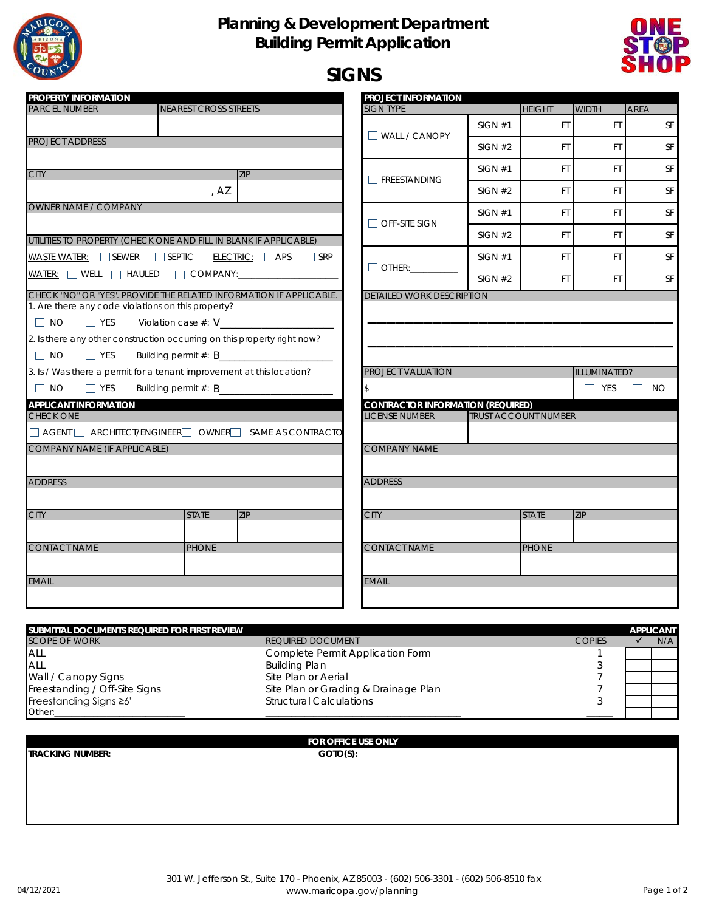

## **Planning & Development Department Building Permit Application**



# **SIGNS**

| PROPERTY INFORMATION                                                                                                                                                                    |                                                                                                                                                                                                                                                                                      | PROJECT INFORMATION                                                                                                                                                                                                                                                                                                                                                         |         |                             |                            |                     |
|-----------------------------------------------------------------------------------------------------------------------------------------------------------------------------------------|--------------------------------------------------------------------------------------------------------------------------------------------------------------------------------------------------------------------------------------------------------------------------------------|-----------------------------------------------------------------------------------------------------------------------------------------------------------------------------------------------------------------------------------------------------------------------------------------------------------------------------------------------------------------------------|---------|-----------------------------|----------------------------|---------------------|
| <b>PARCEL NUMBER</b>                                                                                                                                                                    | <b>NEAREST CROSS STREETS</b>                                                                                                                                                                                                                                                         | SIGN TYPE                                                                                                                                                                                                                                                                                                                                                                   |         | <b>HEIGHT</b>               | <b>WIDTH</b>               | <b>AREA</b>         |
|                                                                                                                                                                                         |                                                                                                                                                                                                                                                                                      |                                                                                                                                                                                                                                                                                                                                                                             | SIGN #1 | FT.                         | <b>FT</b>                  | <b>SF</b>           |
| <b>PROJECT ADDRESS</b>                                                                                                                                                                  |                                                                                                                                                                                                                                                                                      | $\Box$ WALL / CANOPY                                                                                                                                                                                                                                                                                                                                                        | SIGN #2 | FT.                         | FT.                        | <b>SF</b>           |
| <b>CITY</b>                                                                                                                                                                             | <b>ZIP</b>                                                                                                                                                                                                                                                                           |                                                                                                                                                                                                                                                                                                                                                                             | SIGN #1 | FT.                         | FT                         | <b>SF</b>           |
|                                                                                                                                                                                         | , AZ                                                                                                                                                                                                                                                                                 | $\Box$ FREESTANDING                                                                                                                                                                                                                                                                                                                                                         | SIGN #2 | FT.                         | <b>FT</b>                  | <b>SF</b>           |
| <b>OWNER NAME / COMPANY</b>                                                                                                                                                             |                                                                                                                                                                                                                                                                                      |                                                                                                                                                                                                                                                                                                                                                                             | SIGN #1 | FT.                         | FT.                        | <b>SF</b>           |
|                                                                                                                                                                                         | UTILITIES TO PROPERTY (CHECK ONE AND FILL IN BLANK IF APPLICABLE)                                                                                                                                                                                                                    | $\Box$ Off-site sign                                                                                                                                                                                                                                                                                                                                                        | SIGN #2 | FT.                         | <b>FT</b>                  | <b>SF</b>           |
| WASTE WATER: $\Box$ SEWER $\Box$ SEPTIC                                                                                                                                                 | $ELECTRIC: \Box APS \Box SRP$                                                                                                                                                                                                                                                        | SIGN #1                                                                                                                                                                                                                                                                                                                                                                     | FT.     | <b>FT</b>                   | <b>SF</b>                  |                     |
|                                                                                                                                                                                         | WATER: WELL MELL HAULED MCOMPANY:                                                                                                                                                                                                                                                    | $\fbox{\parbox{1.5cm} \begin{picture}(10,0) \put(0,0){\dashbox{0.5}(10,0){ }} \put(15,0){\dashbox{0.5}(10,0){ }} \put(15,0){\dashbox{0.5}(10,0){ }} \put(15,0){\dashbox{0.5}(10,0){ }} \put(15,0){\dashbox{0.5}(10,0){ }} \put(15,0){\dashbox{0.5}(10,0){ }} \put(15,0){\dashbox{0.5}(10,0){ }} \put(15,0){\dashbox{0.5}(10,0){ }} \put(15,0){\dashbox{0.5}(10,0){ }} \put$ | SIGN #2 | FT.                         | FT.                        | <b>SF</b>           |
| 1. Are there any code violations on this property?<br>$\Box$ NO<br>$\Box$ YES<br>$\Box$ YES<br>$\Box$ NO<br>$\Box$ NO<br>$\Box$ YES<br><b>APPLICANT INFORMATION</b><br><b>CHECK ONE</b> | Violation case $#: V_$<br>2. Is there any other construction occurring on this property right now?<br>Building permit #: B<br>3. Is / Was there a permit for a tenant improvement at this location?<br>Building permit $#$ : $B$<br>AGENT ARCHITECT/ENGINEER OWNER SAME AS CONTRACTO | PROJECT VALUATION<br><b>CONTRACTOR INFORMATION (REQUIRED)</b><br><b>LICENSE NUMBER</b>                                                                                                                                                                                                                                                                                      |         | <b>TRUST ACCOUNT NUMBER</b> | ILLUMINATED?<br>$\Box$ YES | $\Box$<br><b>NO</b> |
| <b>COMPANY NAME (IF APPLICABLE)</b>                                                                                                                                                     |                                                                                                                                                                                                                                                                                      | <b>COMPANY NAME</b>                                                                                                                                                                                                                                                                                                                                                         |         |                             |                            |                     |
| <b>ADDRESS</b>                                                                                                                                                                          |                                                                                                                                                                                                                                                                                      | <b>ADDRESS</b>                                                                                                                                                                                                                                                                                                                                                              |         |                             |                            |                     |
| <b>CITY</b>                                                                                                                                                                             | <b>STATE</b><br>ZIP                                                                                                                                                                                                                                                                  | <b>CITY</b>                                                                                                                                                                                                                                                                                                                                                                 |         | <b>STATE</b>                | <b>ZIP</b>                 |                     |
| <b>CONTACT NAME</b>                                                                                                                                                                     | <b>PHONE</b>                                                                                                                                                                                                                                                                         | <b>CONTACT NAME</b>                                                                                                                                                                                                                                                                                                                                                         |         | <b>PHONE</b>                |                            |                     |
| <b>EMAIL</b>                                                                                                                                                                            |                                                                                                                                                                                                                                                                                      | <b>EMAIL</b>                                                                                                                                                                                                                                                                                                                                                                |         |                             |                            |                     |

| SUBMITTAL DOCUMENTS REQUIRED FOR FIRST REVIEW |                                      |               | <b>APPLICANT</b> |
|-----------------------------------------------|--------------------------------------|---------------|------------------|
| <b>SCOPE OF WORK</b>                          | <b>REQUIRED DOCUMENT</b>             | <b>COPIES</b> | N/A              |
| ALL                                           | Complete Permit Application Form     |               |                  |
| ALL                                           | <b>Building Plan</b>                 |               |                  |
| Wall / Canopy Signs                           | Site Plan or Aerial                  |               |                  |
| Freestanding / Off-Site Signs                 | Site Plan or Grading & Drainage Plan |               |                  |
| Freestanding Signs ≥6'                        | <b>Structural Calculations</b>       |               |                  |
| Other:                                        |                                      |               |                  |

**TRACKING NUMBER: GOTO(S):**

### **FOR OFFICE USE ONLY**